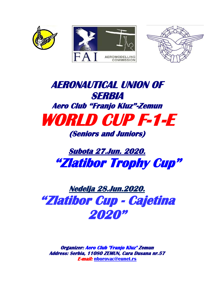





# **AERONAUTICAL UNION OF SERBIA Aero Club "Franjo Kluz"-Zemun WORLD CUP F-1-E (Seniors and Juniors)**

# **Subota 27.Jun. 2020. "Zlatibor Trophy Cup"**

**Nedelja 28.Jun.2020. "Zlatibor Cup - Cajetina 2020"** 

**Organizer: Aero Club "Franjo Kluz" Zemun Address: Serbia, 11080 ZEMUN, Cara Dusana nr.57 E-mail: [nborovac@eunet.rs](mailto:nborovac@eunet.rs)**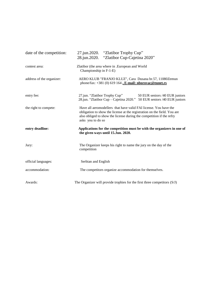| date of the competition:  | 27.jun.2020. "Zlatibor Trophy Cup"<br>"Zlatibor Cup-Cajetina 2020"<br>28.jun.2020.                                                                                                                                                        |  |  |  |
|---------------------------|-------------------------------------------------------------------------------------------------------------------------------------------------------------------------------------------------------------------------------------------|--|--|--|
| contest area:             | Zlatibor (the area where in .European and World<br>Championship in F-1-E)                                                                                                                                                                 |  |  |  |
| address of the organizer: | AERO KLUB "FRANJO KLUZ", Cara Dusana br.57, 11080Zemun<br>phone/fax: $+381$ (0) 619 164. E-mail: nborovac@eunet.rs                                                                                                                        |  |  |  |
| entry fee:                | 27.jun. "Zlatibor Trophy Cup"<br>50 EUR seniors /40 EUR juniors<br>28.jun. "Zlatibor Cup - Cajetina 2020." 50 EUR seniors /40 EUR juniors                                                                                                 |  |  |  |
| the right to compete:     | Have all aeromodellers that have valid FAI license. You have the<br>obligation to show the license at the registration on the field. You are<br>also obliged to show the license during the competition if the refry<br>asks you to do so |  |  |  |
| entry deadline:           | Applications for the competition must be with the organizers in one of<br>the given ways until 15.Jun. 2020.                                                                                                                              |  |  |  |
| Jury:                     | The Organizer keeps his right to name the jury on the day of the<br>competition                                                                                                                                                           |  |  |  |
| official languages:       | Serbian and English                                                                                                                                                                                                                       |  |  |  |
| accommodation:            | The competitors organize accommodation for themselves.                                                                                                                                                                                    |  |  |  |
| Awards:                   | The Organizer will provide trophies for the first three competitors (S/J)                                                                                                                                                                 |  |  |  |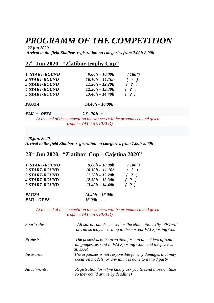## *PROGRAMM OF THE COMPETITION*

*27.jun.2020. Arrival to the field Zlatibor, registration on categories from 7.00h-8.00h* 

## **27 th Jun 2020. "Zlatibor trophy Cup"**

| 1. START-ROUND | $9.00h - 10.00h$  | (180") |
|----------------|-------------------|--------|
| 2.START-ROUND  | $10.10h - 11.10h$ | ( ? )  |
| 3.START-ROUND  | $11.20h - 12.20h$ | ( ? )  |
| 4.START-ROUND  | $12.30h - 13.30h$ | ( ? )  |
| 5.START-ROUND  | $13.40h - 14.40h$ | ( ? )  |
| <b>PAUZA</b>   | $14.40h - 16.00h$ |        |

*FLU – OFFS 16.00h - …* 

 *At the end of the competition the winners will be pronounced and given trophies (AT THE FIELD).*

*28.jun. 2020.*

*Arrival to the field Zlatibor, registration on categories from 7.00h-8.00h* 

## **28 th Jun 2020. "Zlatibor Cup – Cajetina 2020"**

| 1. START-ROUND | $9.00h - 10.00h$  | (180") |
|----------------|-------------------|--------|
| 2.START-ROUND  | $10.10h - 11.10h$ | ( ? )  |
| 3.START-ROUND  | $11.20h - 12.20h$ | ( ? )  |
| 4.START-ROUND  | $12.30h - 13.30h$ | ( ? )  |
| 5.START-ROUND  | $13.40h - 14.40h$ | ( ? )  |
| <b>PAUZA</b>   | $14.40h - 16.00h$ |        |
| FLU-OFFS       | $16.00h - $       |        |

 *At the end of the competition the winners will be pronounced and given trophies (AT THE FIELD).*

| Sport rules:      | All starts-rounds, as well as the eliminations (fly-offs) will<br>be run strictly according to the current FAI Sporting Code             |
|-------------------|------------------------------------------------------------------------------------------------------------------------------------------|
| <i>Protests:</i>  | The protest is to be in written form in one of two official<br>languages, as said in FAI Sporting Code and the price is<br><i>30 EUR</i> |
| <i>Insurance:</i> | The organizer is not responsible for any damages that may<br>occur on models, or any injuries done to a third party                      |
| Attachments:      | Registration form (we kindly ask you to send those on time<br>so they could arrive by deadline)                                          |